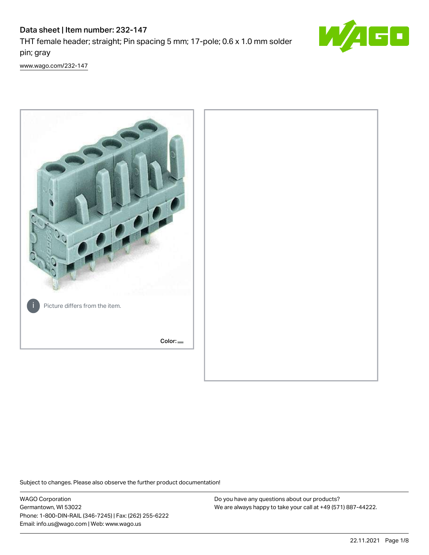# Data sheet | Item number: 232-147

THT female header; straight; Pin spacing 5 mm; 17-pole; 0.6 x 1.0 mm solder pin; gray



[www.wago.com/232-147](http://www.wago.com/232-147)



Subject to changes. Please also observe the further product documentation!

WAGO Corporation Germantown, WI 53022 Phone: 1-800-DIN-RAIL (346-7245) | Fax: (262) 255-6222 Email: info.us@wago.com | Web: www.wago.us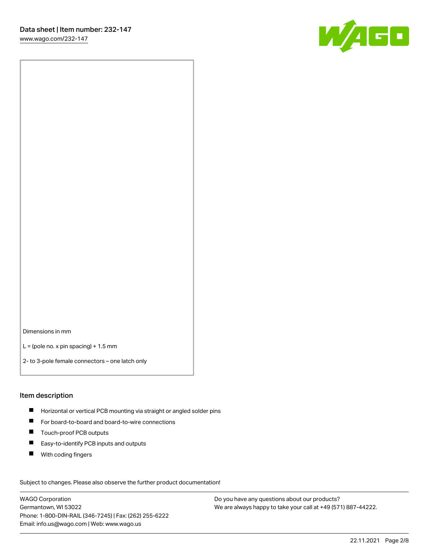

Dimensions in mm

 $L =$  (pole no. x pin spacing) + 1.5 mm

2- to 3-pole female connectors – one latch only

### Item description

- **Horizontal or vertical PCB mounting via straight or angled solder pins**
- For board-to-board and board-to-wire connections
- Touch-proof PCB outputs  $\blacksquare$
- $\blacksquare$ Easy-to-identify PCB inputs and outputs
- $\blacksquare$ With coding fingers

Subject to changes. Please also observe the further product documentation! Data

WAGO Corporation Germantown, WI 53022 Phone: 1-800-DIN-RAIL (346-7245) | Fax: (262) 255-6222 Email: info.us@wago.com | Web: www.wago.us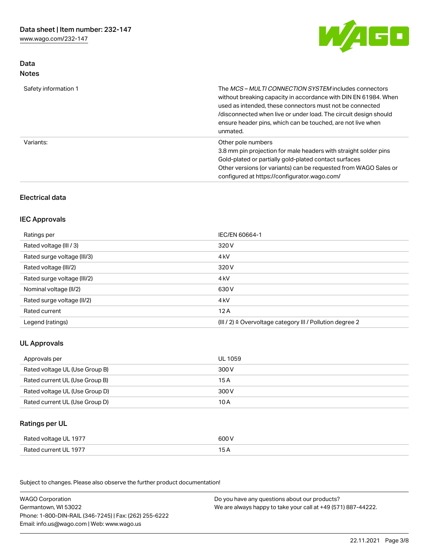Data Notes



| Safety information 1 | The <i>MCS - MULTI CONNECTION SYSTEM</i> includes connectors<br>without breaking capacity in accordance with DIN EN 61984. When<br>used as intended, these connectors must not be connected<br>/disconnected when live or under load. The circuit design should<br>ensure header pins, which can be touched, are not live when<br>unmated. |
|----------------------|--------------------------------------------------------------------------------------------------------------------------------------------------------------------------------------------------------------------------------------------------------------------------------------------------------------------------------------------|
| Variants:            | Other pole numbers<br>3.8 mm pin projection for male headers with straight solder pins<br>Gold-plated or partially gold-plated contact surfaces<br>Other versions (or variants) can be requested from WAGO Sales or<br>configured at https://configurator.wago.com/                                                                        |

# Electrical data

### IEC Approvals

| Ratings per                 | IEC/EN 60664-1                                                        |
|-----------------------------|-----------------------------------------------------------------------|
| Rated voltage (III / 3)     | 320 V                                                                 |
| Rated surge voltage (III/3) | 4 <sub>k</sub> V                                                      |
| Rated voltage (III/2)       | 320 V                                                                 |
| Rated surge voltage (III/2) | 4 <sub>k</sub> V                                                      |
| Nominal voltage (II/2)      | 630 V                                                                 |
| Rated surge voltage (II/2)  | 4 <sub>k</sub> V                                                      |
| Rated current               | 12A                                                                   |
| Legend (ratings)            | $(III / 2)$ $\triangle$ Overvoltage category III / Pollution degree 2 |

# UL Approvals

| Approvals per                  | UL 1059 |
|--------------------------------|---------|
| Rated voltage UL (Use Group B) | 300 V   |
| Rated current UL (Use Group B) | 15 A    |
| Rated voltage UL (Use Group D) | 300 V   |
| Rated current UL (Use Group D) | 10 A    |

# Ratings per UL

| Rated voltage UL 1977 | 600 V |
|-----------------------|-------|
| Rated current UL 1977 |       |

Subject to changes. Please also observe the further product documentation!

| <b>WAGO Corporation</b>                                | Do you have any questions about our products?                 |
|--------------------------------------------------------|---------------------------------------------------------------|
| Germantown, WI 53022                                   | We are always happy to take your call at +49 (571) 887-44222. |
| Phone: 1-800-DIN-RAIL (346-7245)   Fax: (262) 255-6222 |                                                               |
| Email: info.us@wago.com   Web: www.wago.us             |                                                               |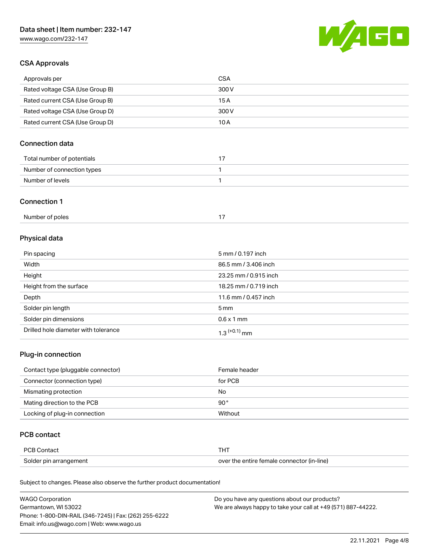

# CSA Approvals

| Approvals per                   | CSA   |
|---------------------------------|-------|
| Rated voltage CSA (Use Group B) | 300 V |
| Rated current CSA (Use Group B) | 15 A  |
| Rated voltage CSA (Use Group D) | 300 V |
| Rated current CSA (Use Group D) | 10 A  |

# Connection data

| Total number of potentials |  |
|----------------------------|--|
| Number of connection types |  |
| Number of levels           |  |

### Connection 1

| Number of poles |  |
|-----------------|--|
|                 |  |

# Physical data

| Pin spacing                          | 5 mm / 0.197 inch     |
|--------------------------------------|-----------------------|
| Width                                | 86.5 mm / 3.406 inch  |
| Height                               | 23.25 mm / 0.915 inch |
| Height from the surface              | 18.25 mm / 0.719 inch |
| Depth                                | 11.6 mm / 0.457 inch  |
| Solder pin length                    | $5 \text{ mm}$        |
| Solder pin dimensions                | $0.6 \times 1$ mm     |
| Drilled hole diameter with tolerance | $1.3$ $(+0.1)$ mm     |

# Plug-in connection

| Contact type (pluggable connector) | Female header |
|------------------------------------|---------------|
| Connector (connection type)        | for PCB       |
| Mismating protection               | No            |
| Mating direction to the PCB        | $90^{\circ}$  |
| Locking of plug-in connection      | Without       |

# PCB contact

| PCB Contact            | THT                                        |
|------------------------|--------------------------------------------|
| Solder pin arrangement | over the entire female connector (in-line) |

Subject to changes. Please also observe the further product documentation!

| <b>WAGO Corporation</b>                                | Do you have any questions about our products?                 |
|--------------------------------------------------------|---------------------------------------------------------------|
| Germantown, WI 53022                                   | We are always happy to take your call at +49 (571) 887-44222. |
| Phone: 1-800-DIN-RAIL (346-7245)   Fax: (262) 255-6222 |                                                               |
| Email: info.us@wago.com   Web: www.wago.us             |                                                               |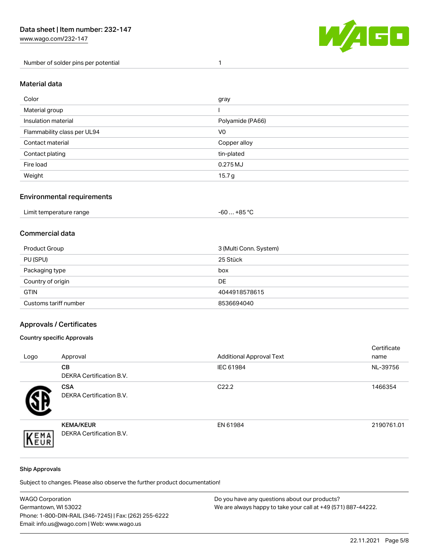Number of solder pins per potential 1



### Material data

| Color                       | gray              |
|-----------------------------|-------------------|
| Material group              |                   |
| Insulation material         | Polyamide (PA66)  |
| Flammability class per UL94 | V <sub>0</sub>    |
| Contact material            | Copper alloy      |
| Contact plating             | tin-plated        |
| Fire load                   | 0.275MJ           |
| Weight                      | 15.7 <sub>g</sub> |

### Environmental requirements

| Limit temperature range | $-60+85 °C$ |  |
|-------------------------|-------------|--|
|-------------------------|-------------|--|

# Commercial data

| Product Group         | 3 (Multi Conn. System) |
|-----------------------|------------------------|
| PU (SPU)              | 25 Stück               |
| Packaging type        | box                    |
| Country of origin     | DE                     |
| <b>GTIN</b>           | 4044918578615          |
| Customs tariff number | 8536694040             |

# Approvals / Certificates

### Country specific Approvals

| Logo | Approval                                            | <b>Additional Approval Text</b> | Certificate<br>name |
|------|-----------------------------------------------------|---------------------------------|---------------------|
|      | CВ<br><b>DEKRA Certification B.V.</b>               | IEC 61984                       | NL-39756            |
|      | <b>CSA</b><br>DEKRA Certification B.V.              | C <sub>22.2</sub>               | 1466354             |
| EMA  | <b>KEMA/KEUR</b><br><b>DEKRA Certification B.V.</b> | EN 61984                        | 2190761.01          |

### Ship Approvals

Subject to changes. Please also observe the further product documentation!

| <b>WAGO Corporation</b>                                | Do you have any questions about our products?                 |
|--------------------------------------------------------|---------------------------------------------------------------|
| Germantown, WI 53022                                   | We are always happy to take your call at +49 (571) 887-44222. |
| Phone: 1-800-DIN-RAIL (346-7245)   Fax: (262) 255-6222 |                                                               |
| Email: info.us@wago.com   Web: www.wago.us             |                                                               |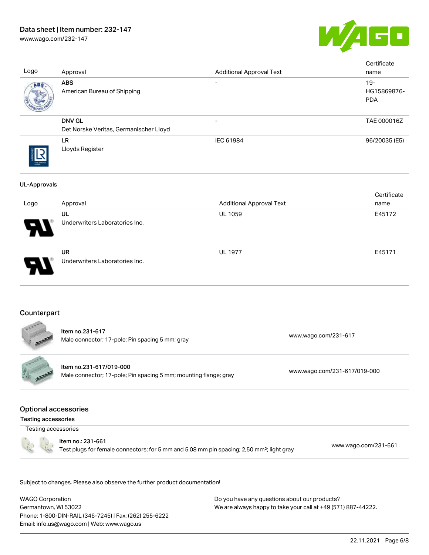# Data sheet | Item number: 232-147

[www.wago.com/232-147](http://www.wago.com/232-147)



| <b>ABS</b>                                                                                  |                                        |                                                                                                       |                                                                 |
|---------------------------------------------------------------------------------------------|----------------------------------------|-------------------------------------------------------------------------------------------------------|-----------------------------------------------------------------|
| American Bureau of Shipping                                                                 |                                        |                                                                                                       | $19 -$<br>HG15869876-<br><b>PDA</b>                             |
| <b>DNV GL</b>                                                                               |                                        |                                                                                                       | TAE 000016Z                                                     |
| LR<br>Lloyds Register                                                                       | IEC 61984                              |                                                                                                       | 96/20035 (E5)                                                   |
|                                                                                             |                                        |                                                                                                       | Certificate                                                     |
| Approval                                                                                    |                                        |                                                                                                       | name                                                            |
| UL<br>Underwriters Laboratories Inc.                                                        | UL 1059                                |                                                                                                       | E45172                                                          |
| <b>UR</b><br>Underwriters Laboratories Inc.                                                 | <b>UL 1977</b>                         |                                                                                                       | E45171                                                          |
| Counterpart                                                                                 |                                        |                                                                                                       |                                                                 |
| Item no.231-617<br>Male connector; 17-pole; Pin spacing 5 mm; gray                          |                                        | www.wago.com/231-617                                                                                  |                                                                 |
| Item no.231-617/019-000<br>Male connector; 17-pole; Pin spacing 5 mm; mounting flange; gray |                                        |                                                                                                       |                                                                 |
| <b>Optional accessories</b><br><b>Testing accessories</b>                                   |                                        |                                                                                                       |                                                                 |
| Testing accessories                                                                         |                                        |                                                                                                       |                                                                 |
| Item no.: 231-661                                                                           |                                        | Test plugs for female connectors; for 5 mm and 5.08 mm pin spacing; 2,50 mm <sup>2</sup> ; light gray | www.wago.com/231-661                                            |
|                                                                                             | Det Norske Veritas, Germanischer Lloyd |                                                                                                       | <b>Additional Approval Text</b><br>www.wago.com/231-617/019-000 |

WAGO Corporation Germantown, WI 53022 Phone: 1-800-DIN-RAIL (346-7245) | Fax: (262) 255-6222 Email: info.us@wago.com | Web: www.wago.us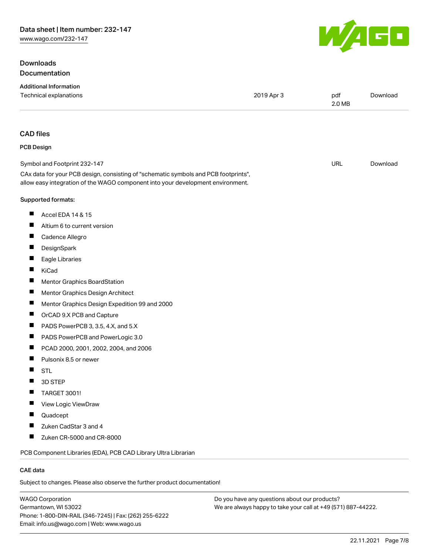# **Downloads** Documentation



|                          | <b>Additional Information</b><br>Technical explanations                                                                                                                | 2019 Apr 3 | pdf<br>2.0 MB | Download |
|--------------------------|------------------------------------------------------------------------------------------------------------------------------------------------------------------------|------------|---------------|----------|
| <b>CAD</b> files         |                                                                                                                                                                        |            |               |          |
| <b>PCB Design</b>        |                                                                                                                                                                        |            |               |          |
|                          | Symbol and Footprint 232-147                                                                                                                                           |            | URL           | Download |
|                          | CAx data for your PCB design, consisting of "schematic symbols and PCB footprints",<br>allow easy integration of the WAGO component into your development environment. |            |               |          |
|                          | Supported formats:                                                                                                                                                     |            |               |          |
| ш                        | Accel EDA 14 & 15                                                                                                                                                      |            |               |          |
| ш                        | Altium 6 to current version                                                                                                                                            |            |               |          |
| Ш                        | Cadence Allegro                                                                                                                                                        |            |               |          |
| ш                        | DesignSpark                                                                                                                                                            |            |               |          |
| ш                        | Eagle Libraries                                                                                                                                                        |            |               |          |
| Ш                        | KiCad                                                                                                                                                                  |            |               |          |
| ш                        | Mentor Graphics BoardStation                                                                                                                                           |            |               |          |
| ш                        | Mentor Graphics Design Architect                                                                                                                                       |            |               |          |
| ш                        | Mentor Graphics Design Expedition 99 and 2000                                                                                                                          |            |               |          |
| $\overline{\phantom{a}}$ | OrCAD 9.X PCB and Capture                                                                                                                                              |            |               |          |
| ш                        | PADS PowerPCB 3, 3.5, 4.X, and 5.X                                                                                                                                     |            |               |          |
| ш                        | PADS PowerPCB and PowerLogic 3.0                                                                                                                                       |            |               |          |
| п                        | PCAD 2000, 2001, 2002, 2004, and 2006                                                                                                                                  |            |               |          |
| ш                        | Pulsonix 8.5 or newer                                                                                                                                                  |            |               |          |
| Ш                        | <b>STL</b>                                                                                                                                                             |            |               |          |
|                          | 3D STEP                                                                                                                                                                |            |               |          |
| Ш                        | TARGET 3001!                                                                                                                                                           |            |               |          |
| Ш                        | View Logic ViewDraw                                                                                                                                                    |            |               |          |
|                          | Quadcept                                                                                                                                                               |            |               |          |
|                          | Zuken CadStar 3 and 4                                                                                                                                                  |            |               |          |
| ш                        | Zuken CR-5000 and CR-8000                                                                                                                                              |            |               |          |
|                          | PCB Component Libraries (EDA), PCB CAD Library Ultra Librarian                                                                                                         |            |               |          |
| <b>CAE</b> data          |                                                                                                                                                                        |            |               |          |

Subject to changes. Please also observe the further product documentation!

WAGO Corporation Germantown, WI 53022 Phone: 1-800-DIN-RAIL (346-7245) | Fax: (262) 255-6222 Email: info.us@wago.com | Web: www.wago.us